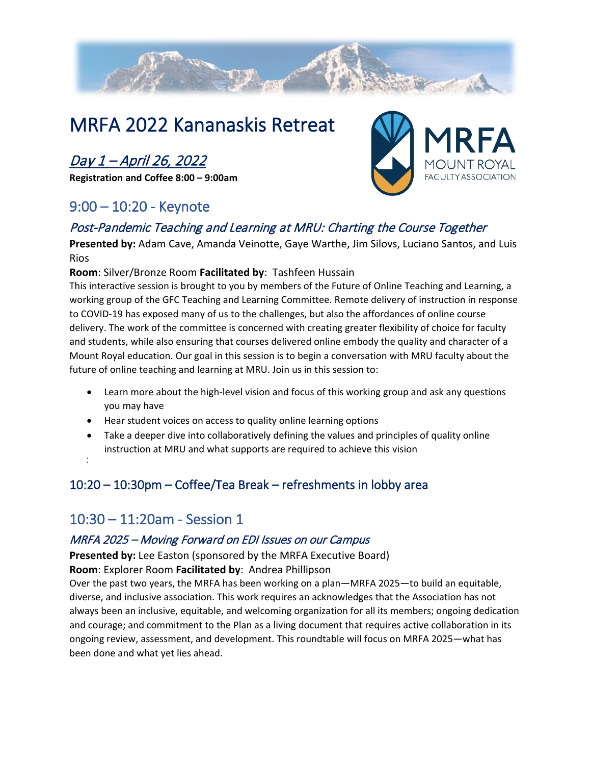

# MRFA 2022 Kananaskis Retreat

# Day 1 – April 26, 2022

**Registration and Coffee 8:00 – 9:00am** 

## 9:00 – 10:20 - Keynote

# FACULTY ASSOCIATION

## Post-Pandemic Teaching and Learning at MRU: Charting the Course Together

**Presented by:** Adam Cave, Amanda Veinotte, Gaye Warthe, Jim Silovs, Luciano Santos, and Luis Rios

#### **Room**: Silver/Bronze Room **Facilitated by**: Tashfeen Hussain

This interactive session is brought to you by members of the Future of Online Teaching and Learning, a working group of the GFC Teaching and Learning Committee. Remote delivery of instruction in response to COVID-19 has exposed many of us to the challenges, but also the affordances of online course delivery. The work of the committee is concerned with creating greater flexibility of choice for faculty and students, while also ensuring that courses delivered online embody the quality and character of a Mount Royal education. Our goal in this session is to begin a conversation with MRU faculty about the future of online teaching and learning at MRU. Join us in this session to:

- Learn more about the high-level vision and focus of this working group and ask any questions you may have
- Hear student voices on access to quality online learning options
- Take a deeper dive into collaboratively defining the values and principles of quality online instruction at MRU and what supports are required to achieve this vision
- •

## 10:20 – 10:30pm – Coffee/Tea Break – refreshments in lobby area

## 10:30 – 11:20am - Session 1

#### MRFA 2025 – Moving Forward on EDI Issues on our Campus

**Presented by:** Lee Easton (sponsored by the MRFA Executive Board) **Room**: Explorer Room **Facilitated by**: Andrea Phillipson

Over the past two years, the MRFA has been working on a plan—MRFA 2025—to build an equitable, diverse, and inclusive association. This work requires an acknowledges that the Association has not always been an inclusive, equitable, and welcoming organization for all its members; ongoing dedication and courage; and commitment to the Plan as a living document that requires active collaboration in its ongoing review, assessment, and development. This roundtable will focus on MRFA 2025—what has been done and what yet lies ahead.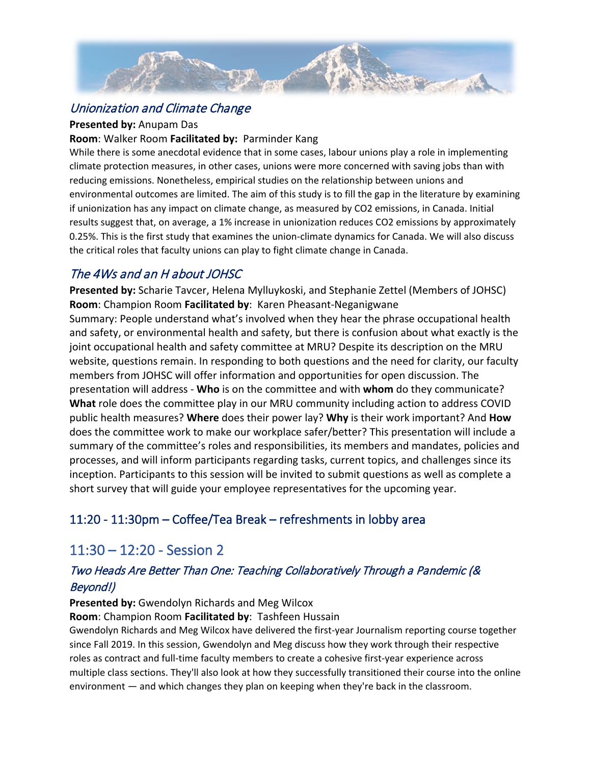

## Unionization and Climate Change

#### **Presented by:** Anupam Das

#### **Room**: Walker Room **Facilitated by:** Parminder Kang

While there is some anecdotal evidence that in some cases, labour unions play a role in implementing climate protection measures, in other cases, unions were more concerned with saving jobs than with reducing emissions. Nonetheless, empirical studies on the relationship between unions and environmental outcomes are limited. The aim of this study is to fill the gap in the literature by examining if unionization has any impact on climate change, as measured by CO2 emissions, in Canada. Initial results suggest that, on average, a 1% increase in unionization reduces CO2 emissions by approximately 0.25%. This is the first study that examines the union-climate dynamics for Canada. We will also discuss the critical roles that faculty unions can play to fight climate change in Canada.

## The 4Ws and an H about JOHSC

**Presented by:** Scharie Tavcer, Helena Mylluykoski, and Stephanie Zettel (Members of JOHSC) **Room**: Champion Room **Facilitated by**: Karen Pheasant-Neganigwane Summary: People understand what's involved when they hear the phrase occupational health and safety, or environmental health and safety, but there is confusion about what exactly is the joint occupational health and safety committee at MRU? Despite its description on the MRU website, questions remain. In responding to both questions and the need for clarity, our faculty members from JOHSC will offer information and opportunities for open discussion. The presentation will address - **Who** is on the committee and with **whom** do they communicate? **What** role does the committee play in our MRU community including action to address COVID public health measures? **Where** does their power lay? **Why** is their work important? And **How** does the committee work to make our workplace safer/better? This presentation will include a summary of the committee's roles and responsibilities, its members and mandates, policies and processes, and will inform participants regarding tasks, current topics, and challenges since its inception. Participants to this session will be invited to submit questions as well as complete a short survey that will guide your employee representatives for the upcoming year.

## 11:20 - 11:30pm – Coffee/Tea Break – refreshments in lobby area

## 11:30 – 12:20 - Session 2

## Two Heads Are Better Than One: Teaching Collaboratively Through a Pandemic (& Beyond!)

#### **Presented by:** Gwendolyn Richards and Meg Wilcox

**Room**: Champion Room **Facilitated by**: Tashfeen Hussain

Gwendolyn Richards and Meg Wilcox have delivered the first-year Journalism reporting course together since Fall 2019. In this session, Gwendolyn and Meg discuss how they work through their respective roles as contract and full-time faculty members to create a cohesive first-year experience across multiple class sections. They'll also look at how they successfully transitioned their course into the online environment — and which changes they plan on keeping when they're back in the classroom.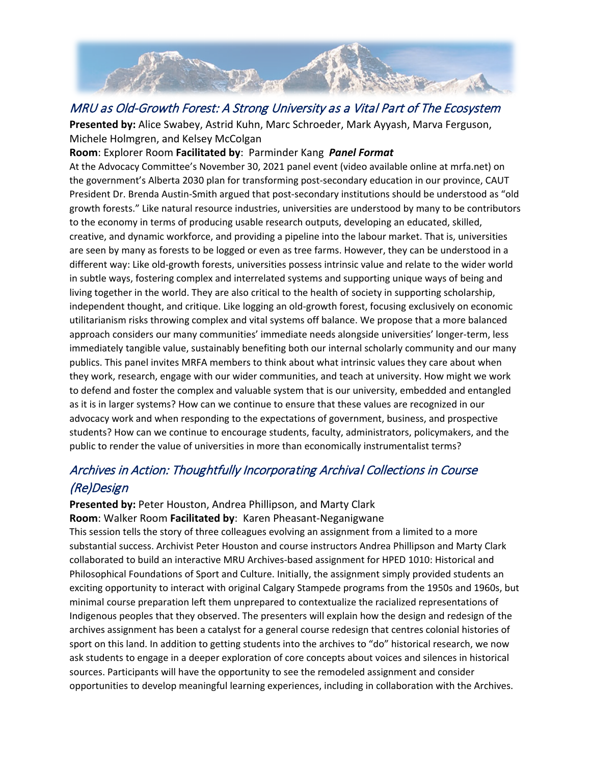

## MRU as Old-Growth Forest: A Strong University as a Vital Part of The Ecosystem

**Presented by:** Alice Swabey, Astrid Kuhn, Marc Schroeder, Mark Ayyash, Marva Ferguson, Michele Holmgren, and Kelsey McColgan

#### **Room**: Explorer Room **Facilitated by**: Parminder Kang *Panel Format*

At the Advocacy Committee's November 30, 2021 panel event (video available online at mrfa.net) on the government's Alberta 2030 plan for transforming post-secondary education in our province, CAUT President Dr. Brenda Austin-Smith argued that post-secondary institutions should be understood as "old growth forests." Like natural resource industries, universities are understood by many to be contributors to the economy in terms of producing usable research outputs, developing an educated, skilled, creative, and dynamic workforce, and providing a pipeline into the labour market. That is, universities are seen by many as forests to be logged or even as tree farms. However, they can be understood in a different way: Like old-growth forests, universities possess intrinsic value and relate to the wider world in subtle ways, fostering complex and interrelated systems and supporting unique ways of being and living together in the world. They are also critical to the health of society in supporting scholarship, independent thought, and critique. Like logging an old-growth forest, focusing exclusively on economic utilitarianism risks throwing complex and vital systems off balance. We propose that a more balanced approach considers our many communities' immediate needs alongside universities' longer-term, less immediately tangible value, sustainably benefiting both our internal scholarly community and our many publics. This panel invites MRFA members to think about what intrinsic values they care about when they work, research, engage with our wider communities, and teach at university. How might we work to defend and foster the complex and valuable system that is our university, embedded and entangled as it is in larger systems? How can we continue to ensure that these values are recognized in our advocacy work and when responding to the expectations of government, business, and prospective students? How can we continue to encourage students, faculty, administrators, policymakers, and the public to render the value of universities in more than economically instrumentalist terms?

## Archives in Action: Thoughtfully Incorporating Archival Collections in Course (Re)Design

#### **Presented by:** Peter Houston, Andrea Phillipson, and Marty Clark **Room**: Walker Room **Facilitated by**: Karen Pheasant-Neganigwane

This session tells the story of three colleagues evolving an assignment from a limited to a more substantial success. Archivist Peter Houston and course instructors Andrea Phillipson and Marty Clark collaborated to build an interactive MRU Archives-based assignment for HPED 1010: Historical and Philosophical Foundations of Sport and Culture. Initially, the assignment simply provided students an exciting opportunity to interact with original Calgary Stampede programs from the 1950s and 1960s, but minimal course preparation left them unprepared to contextualize the racialized representations of Indigenous peoples that they observed. The presenters will explain how the design and redesign of the archives assignment has been a catalyst for a general course redesign that centres colonial histories of sport on this land. In addition to getting students into the archives to "do" historical research, we now ask students to engage in a deeper exploration of core concepts about voices and silences in historical sources. Participants will have the opportunity to see the remodeled assignment and consider opportunities to develop meaningful learning experiences, including in collaboration with the Archives.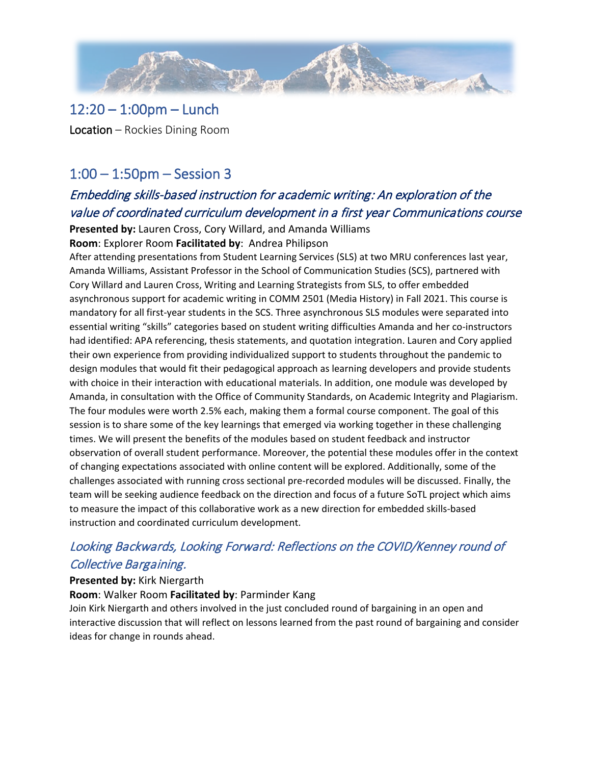

## 12:20 – 1:00pm – Lunch

Location – Rockies Dining Room

## 1:00 – 1:50pm – Session 3

## Embedding skills-based instruction for academic writing: An exploration of the value of coordinated curriculum development in a first year Communications course

**Presented by:** Lauren Cross, Cory Willard, and Amanda Williams

**Room**: Explorer Room **Facilitated by**: Andrea Philipson

After attending presentations from Student Learning Services (SLS) at two MRU conferences last year, Amanda Williams, Assistant Professor in the School of Communication Studies (SCS), partnered with Cory Willard and Lauren Cross, Writing and Learning Strategists from SLS, to offer embedded asynchronous support for academic writing in COMM 2501 (Media History) in Fall 2021. This course is mandatory for all first-year students in the SCS. Three asynchronous SLS modules were separated into essential writing "skills" categories based on student writing difficulties Amanda and her co-instructors had identified: APA referencing, thesis statements, and quotation integration. Lauren and Cory applied their own experience from providing individualized support to students throughout the pandemic to design modules that would fit their pedagogical approach as learning developers and provide students with choice in their interaction with educational materials. In addition, one module was developed by Amanda, in consultation with the Office of Community Standards, on Academic Integrity and Plagiarism. The four modules were worth 2.5% each, making them a formal course component. The goal of this session is to share some of the key learnings that emerged via working together in these challenging times. We will present the benefits of the modules based on student feedback and instructor observation of overall student performance. Moreover, the potential these modules offer in the context of changing expectations associated with online content will be explored. Additionally, some of the challenges associated with running cross sectional pre-recorded modules will be discussed. Finally, the team will be seeking audience feedback on the direction and focus of a future SoTL project which aims to measure the impact of this collaborative work as a new direction for embedded skills-based instruction and coordinated curriculum development.

## Looking Backwards, Looking Forward: Reflections on the COVID/Kenney round of Collective Bargaining.

#### **Presented by:** Kirk Niergarth

**Room**: Walker Room **Facilitated by**: Parminder Kang

Join Kirk Niergarth and others involved in the just concluded round of bargaining in an open and interactive discussion that will reflect on lessons learned from the past round of bargaining and consider ideas for change in rounds ahead.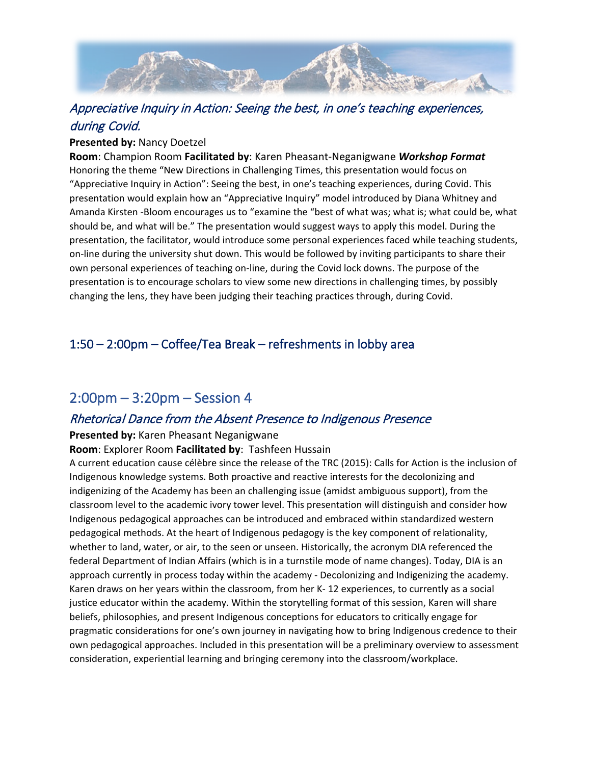

## Appreciative Inquiry in Action: Seeing the best, in one's teaching experiences, during Covid.

#### **Presented by:** Nancy Doetzel

**Room**: Champion Room **Facilitated by**: Karen Pheasant-Neganigwane *Workshop Format* Honoring the theme "New Directions in Challenging Times, this presentation would focus on "Appreciative Inquiry in Action": Seeing the best, in one's teaching experiences, during Covid. This presentation would explain how an "Appreciative Inquiry" model introduced by Diana Whitney and Amanda Kirsten -Bloom encourages us to "examine the "best of what was; what is; what could be, what should be, and what will be." The presentation would suggest ways to apply this model. During the presentation, the facilitator, would introduce some personal experiences faced while teaching students, on-line during the university shut down. This would be followed by inviting participants to share their own personal experiences of teaching on-line, during the Covid lock downs. The purpose of the presentation is to encourage scholars to view some new directions in challenging times, by possibly changing the lens, they have been judging their teaching practices through, during Covid.

## 1:50 – 2:00pm – Coffee/Tea Break – refreshments in lobby area

## 2:00pm – 3:20pm – Session 4

#### Rhetorical Dance from the Absent Presence to Indigenous Presence

#### **Presented by:** Karen Pheasant Neganigwane

#### **Room**: Explorer Room **Facilitated by**: Tashfeen Hussain

A current education cause célèbre since the release of the TRC (2015): Calls for Action is the inclusion of Indigenous knowledge systems. Both proactive and reactive interests for the decolonizing and indigenizing of the Academy has been an challenging issue (amidst ambiguous support), from the classroom level to the academic ivory tower level. This presentation will distinguish and consider how Indigenous pedagogical approaches can be introduced and embraced within standardized western pedagogical methods. At the heart of Indigenous pedagogy is the key component of relationality, whether to land, water, or air, to the seen or unseen. Historically, the acronym DIA referenced the federal Department of Indian Affairs (which is in a turnstile mode of name changes). Today, DIA is an approach currently in process today within the academy - Decolonizing and Indigenizing the academy. Karen draws on her years within the classroom, from her K- 12 experiences, to currently as a social justice educator within the academy. Within the storytelling format of this session, Karen will share beliefs, philosophies, and present Indigenous conceptions for educators to critically engage for pragmatic considerations for one's own journey in navigating how to bring Indigenous credence to their own pedagogical approaches. Included in this presentation will be a preliminary overview to assessment consideration, experiential learning and bringing ceremony into the classroom/workplace.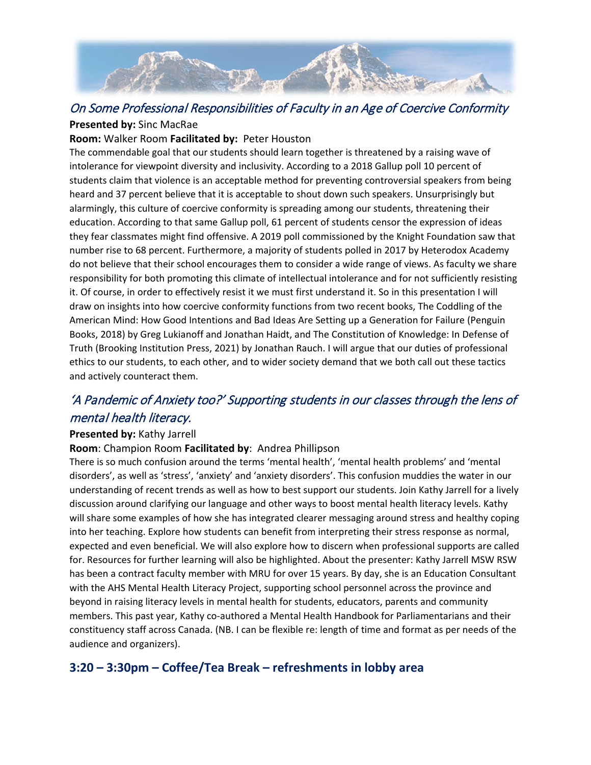

#### On Some Professional Responsibilities of Faculty in an Age of Coercive Conformity **Presented by:** Sinc MacRae

#### **Room:** Walker Room **Facilitated by:** Peter Houston

The commendable goal that our students should learn together is threatened by a raising wave of intolerance for viewpoint diversity and inclusivity. According to a 2018 Gallup poll 10 percent of students claim that violence is an acceptable method for preventing controversial speakers from being heard and 37 percent believe that it is acceptable to shout down such speakers. Unsurprisingly but alarmingly, this culture of coercive conformity is spreading among our students, threatening their education. According to that same Gallup poll, 61 percent of students censor the expression of ideas they fear classmates might find offensive. A 2019 poll commissioned by the Knight Foundation saw that number rise to 68 percent. Furthermore, a majority of students polled in 2017 by Heterodox Academy do not believe that their school encourages them to consider a wide range of views. As faculty we share responsibility for both promoting this climate of intellectual intolerance and for not sufficiently resisting it. Of course, in order to effectively resist it we must first understand it. So in this presentation I will draw on insights into how coercive conformity functions from two recent books, The Coddling of the American Mind: How Good Intentions and Bad Ideas Are Setting up a Generation for Failure (Penguin Books, 2018) by Greg Lukianoff and Jonathan Haidt, and The Constitution of Knowledge: In Defense of Truth (Brooking Institution Press, 2021) by Jonathan Rauch. I will argue that our duties of professional ethics to our students, to each other, and to wider society demand that we both call out these tactics and actively counteract them.

## 'A Pandemic of Anxiety too?' Supporting students in our classes through the lens of mental health literacy.

#### **Presented by:** Kathy Jarrell

#### **Room**: Champion Room **Facilitated by**: Andrea Phillipson

There is so much confusion around the terms 'mental health', 'mental health problems' and 'mental disorders', as well as 'stress', 'anxiety' and 'anxiety disorders'. This confusion muddies the water in our understanding of recent trends as well as how to best support our students. Join Kathy Jarrell for a lively discussion around clarifying our language and other ways to boost mental health literacy levels. Kathy will share some examples of how she has integrated clearer messaging around stress and healthy coping into her teaching. Explore how students can benefit from interpreting their stress response as normal, expected and even beneficial. We will also explore how to discern when professional supports are called for. Resources for further learning will also be highlighted. About the presenter: Kathy Jarrell MSW RSW has been a contract faculty member with MRU for over 15 years. By day, she is an Education Consultant with the AHS Mental Health Literacy Project, supporting school personnel across the province and beyond in raising literacy levels in mental health for students, educators, parents and community members. This past year, Kathy co-authored a Mental Health Handbook for Parliamentarians and their constituency staff across Canada. (NB. I can be flexible re: length of time and format as per needs of the audience and organizers).

#### **3:20 – 3:30pm – Coffee/Tea Break – refreshments in lobby area**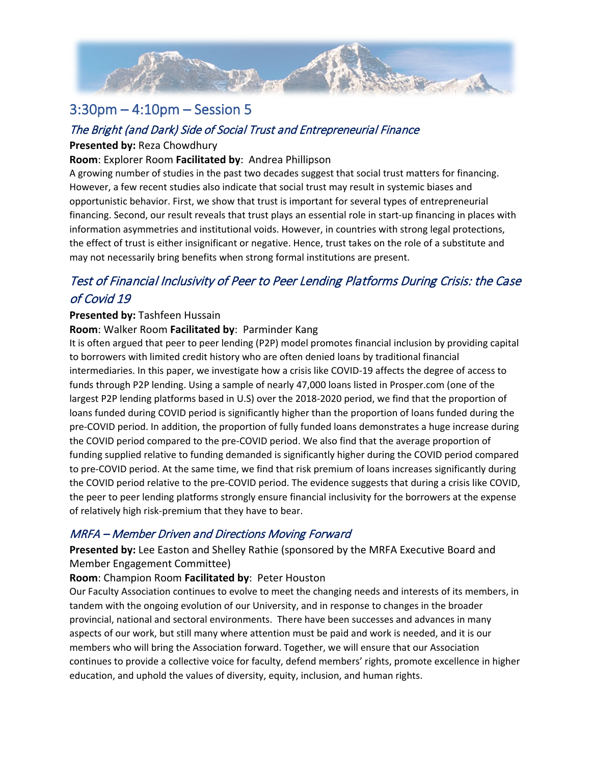

## 3:30pm – 4:10pm – Session 5

#### The Bright (and Dark) Side of Social Trust and Entrepreneurial Finance

#### **Presented by:** Reza Chowdhury

#### **Room**: Explorer Room **Facilitated by**: Andrea Phillipson

A growing number of studies in the past two decades suggest that social trust matters for financing. However, a few recent studies also indicate that social trust may result in systemic biases and opportunistic behavior. First, we show that trust is important for several types of entrepreneurial financing. Second, our result reveals that trust plays an essential role in start-up financing in places with information asymmetries and institutional voids. However, in countries with strong legal protections, the effect of trust is either insignificant or negative. Hence, trust takes on the role of a substitute and may not necessarily bring benefits when strong formal institutions are present.

## Test of Financial Inclusivity of Peer to Peer Lending Platforms During Crisis: the Case of Covid 19

#### **Presented by:** Tashfeen Hussain

#### **Room**: Walker Room **Facilitated by**: Parminder Kang

It is often argued that peer to peer lending (P2P) model promotes financial inclusion by providing capital to borrowers with limited credit history who are often denied loans by traditional financial intermediaries. In this paper, we investigate how a crisis like COVID-19 affects the degree of access to funds through P2P lending. Using a sample of nearly 47,000 loans listed in Prosper.com (one of the largest P2P lending platforms based in U.S) over the 2018-2020 period, we find that the proportion of loans funded during COVID period is significantly higher than the proportion of loans funded during the pre-COVID period. In addition, the proportion of fully funded loans demonstrates a huge increase during the COVID period compared to the pre-COVID period. We also find that the average proportion of funding supplied relative to funding demanded is significantly higher during the COVID period compared to pre-COVID period. At the same time, we find that risk premium of loans increases significantly during the COVID period relative to the pre-COVID period. The evidence suggests that during a crisis like COVID, the peer to peer lending platforms strongly ensure financial inclusivity for the borrowers at the expense of relatively high risk-premium that they have to bear.

#### MRFA – Member Driven and Directions Moving Forward

**Presented by:** Lee Easton and Shelley Rathie (sponsored by the MRFA Executive Board and Member Engagement Committee)

#### **Room**: Champion Room **Facilitated by**: Peter Houston

Our Faculty Association continues to evolve to meet the changing needs and interests of its members, in tandem with the ongoing evolution of our University, and in response to changes in the broader provincial, national and sectoral environments. There have been successes and advances in many aspects of our work, but still many where attention must be paid and work is needed, and it is our members who will bring the Association forward. Together, we will ensure that our Association continues to provide a collective voice for faculty, defend members' rights, promote excellence in higher education, and uphold the values of diversity, equity, inclusion, and human rights.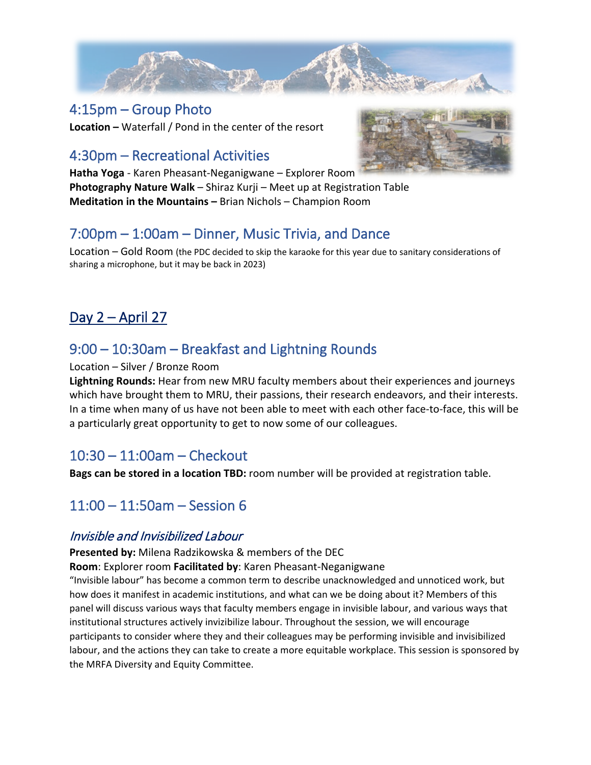

## 4:15pm – Group Photo

**Location –** Waterfall / Pond in the center of the resort

# 4:30pm – Recreational Activities

**Hatha Yoga** - Karen Pheasant-Neganigwane – Explorer Room **Photography Nature Walk** – Shiraz Kurji – Meet up at Registration Table **Meditation in the Mountains –** Brian Nichols – Champion Room



# 7:00pm – 1:00am – Dinner, Music Trivia, and Dance

Location – Gold Room (the PDC decided to skip the karaoke for this year due to sanitary considerations of sharing a microphone, but it may be back in 2023)

# Day 2 – April 27

# 9:00 – 10:30am – Breakfast and Lightning Rounds

#### Location – Silver / Bronze Room

**Lightning Rounds:** Hear from new MRU faculty members about their experiences and journeys which have brought them to MRU, their passions, their research endeavors, and their interests. In a time when many of us have not been able to meet with each other face-to-face, this will be a particularly great opportunity to get to now some of our colleagues.

## 10:30 – 11:00am – Checkout

**Bags can be stored in a location TBD:** room number will be provided at registration table.

## 11:00 – 11:50am – Session 6

## Invisible and Invisibilized Labour

**Presented by:** Milena Radzikowska & members of the DEC

**Room**: Explorer room **Facilitated by**: Karen Pheasant-Neganigwane

"Invisible labour" has become a common term to describe unacknowledged and unnoticed work, but how does it manifest in academic institutions, and what can we be doing about it? Members of this panel will discuss various ways that faculty members engage in invisible labour, and various ways that institutional structures actively invizibilize labour. Throughout the session, we will encourage participants to consider where they and their colleagues may be performing invisible and invisibilized labour, and the actions they can take to create a more equitable workplace. This session is sponsored by the MRFA Diversity and Equity Committee.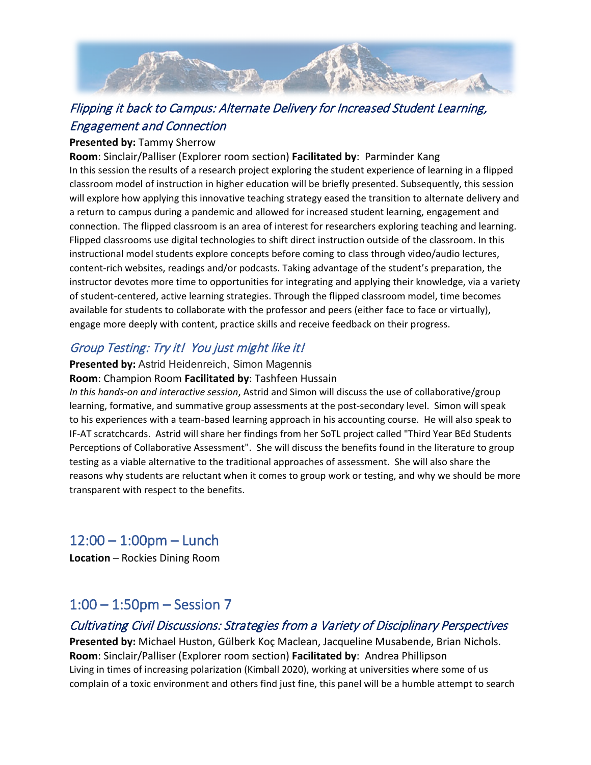

## Flipping it back to Campus: Alternate Delivery for Increased Student Learning, Engagement and Connection

#### **Presented by:** Tammy Sherrow

**Room**: Sinclair/Palliser (Explorer room section) **Facilitated by**: Parminder Kang In this session the results of a research project exploring the student experience of learning in a flipped classroom model of instruction in higher education will be briefly presented. Subsequently, this session will explore how applying this innovative teaching strategy eased the transition to alternate delivery and a return to campus during a pandemic and allowed for increased student learning, engagement and connection. The flipped classroom is an area of interest for researchers exploring teaching and learning. Flipped classrooms use digital technologies to shift direct instruction outside of the classroom. In this instructional model students explore concepts before coming to class through video/audio lectures, content-rich websites, readings and/or podcasts. Taking advantage of the student's preparation, the instructor devotes more time to opportunities for integrating and applying their knowledge, via a variety of student-centered, active learning strategies. Through the flipped classroom model, time becomes available for students to collaborate with the professor and peers (either face to face or virtually), engage more deeply with content, practice skills and receive feedback on their progress.

## Group Testing: Try it! You just might like it!

#### **Presented by:** Astrid Heidenreich, Simon Magennis

#### **Room**: Champion Room **Facilitated by**: Tashfeen Hussain

*In this hands-on and interactive session*, Astrid and Simon will discuss the use of collaborative/group learning, formative, and summative group assessments at the post-secondary level. Simon will speak to his experiences with a team-based learning approach in his accounting course. He will also speak to IF-AT scratchcards. Astrid will share her findings from her SoTL project called "Third Year BEd Students Perceptions of Collaborative Assessment". She will discuss the benefits found in the literature to group testing as a viable alternative to the traditional approaches of assessment. She will also share the reasons why students are reluctant when it comes to group work or testing, and why we should be more transparent with respect to the benefits.

## 12:00 – 1:00pm – Lunch

**Location** – Rockies Dining Room

## 1:00 – 1:50pm – Session 7

#### Cultivating Civil Discussions: Strategies from a Variety of Disciplinary Perspectives

**Presented by:** Michael Huston, Gülberk Koç Maclean, Jacqueline Musabende, Brian Nichols. **Room**: Sinclair/Palliser (Explorer room section) **Facilitated by**: Andrea Phillipson Living in times of increasing polarization (Kimball 2020), working at universities where some of us complain of a toxic environment and others find just fine, this panel will be a humble attempt to search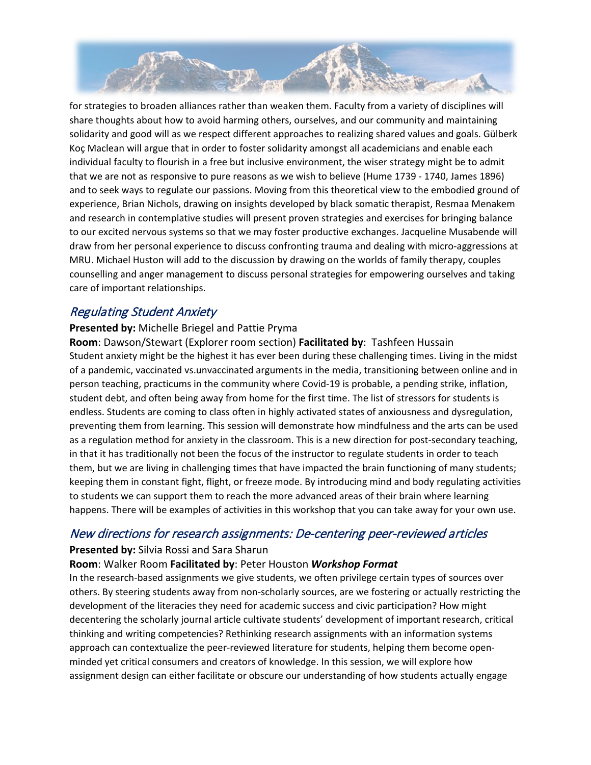

for strategies to broaden alliances rather than weaken them. Faculty from a variety of disciplines will share thoughts about how to avoid harming others, ourselves, and our community and maintaining solidarity and good will as we respect different approaches to realizing shared values and goals. Gülberk Koç Maclean will argue that in order to foster solidarity amongst all academicians and enable each individual faculty to flourish in a free but inclusive environment, the wiser strategy might be to admit that we are not as responsive to pure reasons as we wish to believe (Hume 1739 - 1740, James 1896) and to seek ways to regulate our passions. Moving from this theoretical view to the embodied ground of experience, Brian Nichols, drawing on insights developed by black somatic therapist, Resmaa Menakem and research in contemplative studies will present proven strategies and exercises for bringing balance to our excited nervous systems so that we may foster productive exchanges. Jacqueline Musabende will draw from her personal experience to discuss confronting trauma and dealing with micro-aggressions at MRU. Michael Huston will add to the discussion by drawing on the worlds of family therapy, couples counselling and anger management to discuss personal strategies for empowering ourselves and taking care of important relationships.

## Regulating Student Anxiety

#### **Presented by:** Michelle Briegel and Pattie Pryma

**Room**: Dawson/Stewart (Explorer room section) **Facilitated by**: Tashfeen Hussain Student anxiety might be the highest it has ever been during these challenging times. Living in the midst of a pandemic, vaccinated vs.unvaccinated arguments in the media, transitioning between online and in person teaching, practicums in the community where Covid-19 is probable, a pending strike, inflation, student debt, and often being away from home for the first time. The list of stressors for students is endless. Students are coming to class often in highly activated states of anxiousness and dysregulation, preventing them from learning. This session will demonstrate how mindfulness and the arts can be used as a regulation method for anxiety in the classroom. This is a new direction for post-secondary teaching, in that it has traditionally not been the focus of the instructor to regulate students in order to teach them, but we are living in challenging times that have impacted the brain functioning of many students; keeping them in constant fight, flight, or freeze mode. By introducing mind and body regulating activities to students we can support them to reach the more advanced areas of their brain where learning happens. There will be examples of activities in this workshop that you can take away for your own use.

#### New directions for research assignments: De-centering peer-reviewed articles

#### **Presented by:** Silvia Rossi and Sara Sharun

#### **Room**: Walker Room **Facilitated by**: Peter Houston *Workshop Format*

In the research-based assignments we give students, we often privilege certain types of sources over others. By steering students away from non-scholarly sources, are we fostering or actually restricting the development of the literacies they need for academic success and civic participation? How might decentering the scholarly journal article cultivate students' development of important research, critical thinking and writing competencies? Rethinking research assignments with an information systems approach can contextualize the peer-reviewed literature for students, helping them become openminded yet critical consumers and creators of knowledge. In this session, we will explore how assignment design can either facilitate or obscure our understanding of how students actually engage